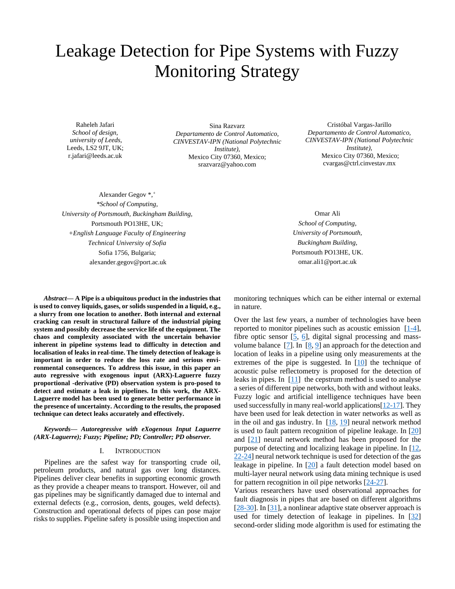# Leakage Detection for Pipe Systems with Fuzzy Monitoring Strategy

Raheleh Jafari *School of design, university of Leeds,*  Leeds, LS2 9JT, UK; r.jafari@leeds.ac.uk

Sina Razvarz *Departamento de Control Automatico, CINVESTAV-IPN (National Polytechnic Institute),* Mexico City 07360, Mexico; srazvarz@yahoo.com

Cristóbal Vargas-Jarillo *Departamento de Control Automatico, CINVESTAV-IPN (National Polytechnic Institute),* Mexico City 07360, Mexico; [cvargas@ctrl.cinvestav.mx](mailto:cvargas@ctrl.cinvestav.mx)

Alexander Gegov \*,<sup>+</sup> *\*School of Computing, University of Portsmouth, Buckingham Building,* Portsmouth PO13HE, UK; *+English Language Faculty of Engineering Technical University of Sofia* Sofia 1756, Bulgaria; alexander.gegov@port.ac.uk

*Abstract***— A Pipe is a ubiquitous product in the industries that is used to convey liquids, gases, or solids suspended in a liquid, e.g., a slurry from one location to another. Both internal and external cracking can result in structural failure of the industrial piping system and possibly decrease the service life of the equipment. The chaos and complexity associated with the uncertain behavior inherent in pipeline systems lead to difficulty in detection and localisation of leaks in real-time. The timely detection of leakage is important in order to reduce the loss rate and serious environmental consequences. To address this issue, in this paper an auto regressive with exogenous input (ARX)-Laguerre fuzzy proportional -derivative (PD) observation system is pro-posed to detect and estimate a leak in pipelines. In this work, the ARX-Laguerre model has been used to generate better performance in the presence of uncertainty. According to the results, the proposed technique can detect leaks accurately and effectively.**

# *Keywords— Autoregressive with eXogenous Input Laguerre (ARX-Laguerre); Fuzzy; Pipeline; PD; Controller; PD observer.*

#### I. INTRODUCTION

Pipelines are the safest way for transporting crude oil, petroleum products, and natural gas over long distances. Pipelines deliver clear benefits in supporting economic growth as they provide a cheaper means to transport. However, oil and gas pipelines may be significantly damaged due to internal and external defects (e.g., corrosion, dents, gouges, weld defects). Construction and operational defects of pipes can pose major risks to supplies. Pipeline safety is possible using inspection and

Omar Ali *School of Computing, University of Portsmouth, Buckingham Building,* Portsmouth PO13HE, UK. omar.ali1@port.ac.uk

monitoring techniques which can be either internal or external in nature.

Over the last few years, a number of technologies have been reported to monitor pipelines such as acoustic emission  $[1-4]$ , fibre optic sensor  $[5, 6]$  $[5, 6]$ , digital signal processing and massvolume balance [\[7\]](#page-4-3). In [\[8,](#page-4-4) [9\]](#page-4-5) an approach for the detection and location of leaks in a pipeline using only measurements at the extremes of the pipe is suggested. In  $[10]$  the technique of acoustic pulse reflectometry is proposed for the detection of leaks in pipes. In  $[11]$  the cepstrum method is used to analyse a series of different pipe networks, both with and without leaks. Fuzzy logic and artificial intelligence techniques have been used successfully in many real-world applications [\[12-17\]](#page-4-8). They have been used for leak detection in water networks as well as in the oil and gas industry. In [\[18,](#page-5-0) [19\]](#page-5-1) neural network method is used to fault pattern recognition of pipeline leakage. In [\[20\]](#page-5-2) and [\[21\]](#page-5-3) neural network method has been proposed for the purpose of detecting and localizing leakage in pipeline. In [\[12,](#page-4-8) [22-24\]](#page-5-4) neural network technique is used for detection of the gas leakage in pipeline. In [\[20\]](#page-5-2) a fault detection model based on multi-layer neural network using data mining technique is used for pattern recognition in oil pipe networks  $[24-27]$ .

Various researchers have used observational approaches for fault diagnosis in pipes that are based on different algorithms [\[28-30\]](#page-5-6). In [\[31\]](#page-5-7), a nonlinear adaptive state observer approach is used for timely detection of leakage in pipelines. In [\[32\]](#page-5-8) second-order sliding mode algorithm is used for estimating the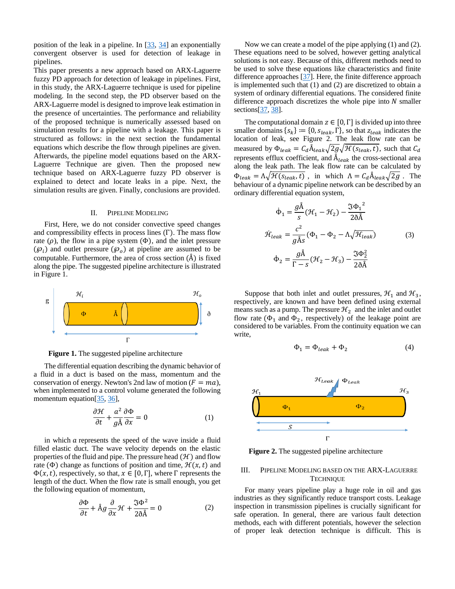position of the leak in a pipeline. In  $[33, 34]$  $[33, 34]$  an exponentially convergent observer is used for detection of leakage in pipelines.

This paper presents a new approach based on ARX-Laguerre fuzzy PD approach for detection of leakage in pipelines. First, in this study, the ARX-Laguerre technique is used for pipeline modeling. In the second step, the PD observer based on the ARX-Laguerre model is designed to improve leak estimation in the presence of uncertainties. The performance and reliability of the proposed technique is numerically assessed based on simulation results for a pipeline with a leakage. This paper is structured as follows: in the next section the fundamental equations which describe the flow through pipelines are given. Afterwards, the pipeline model equations based on the ARX-Laguerre Technique are given. Then the proposed new technique based on ARX-Laguerre fuzzy PD observer is explained to detect and locate leaks in a pipe. Next, the simulation results are given. Finally, conclusions are provided.

#### II. PIPELINE MODELING

First, Here, we do not consider convective speed changes and compressibility effects in process lines (Γ). The mass flow rate  $(\rho)$ , the flow in a pipe system  $(\Phi)$ , and the inlet pressure  $(\mathcal{P}_i)$  and outlet pressure  $(\mathcal{P}_o)$  at pipeline are assumed to be computable. Furthermore, the area of cross section  $(\hat{A})$  is fixed along the pipe. The suggested pipeline architecture is illustrated in Figure 1.



**Figure 1.** The suggested pipeline architecture

The differential equation describing the dynamic behavior of a fluid in a duct is based on the mass, momentum and the conservation of energy. Newton's 2nd law of motion  $(F = ma)$ , when implemented to a control volume generated the following momentum equation[\[35,](#page-5-11) [36\]](#page-5-12),

$$
\frac{\partial \mathcal{H}}{\partial t} + \frac{a^2}{g\hat{A}} \frac{\partial \Phi}{\partial x} = 0
$$
 (1)

in which  $a$  represents the speed of the wave inside a fluid filled elastic duct. The wave velocity depends on the elastic properties of the fluid and pipe. The pressure head  $(\mathcal{H})$  and flow rate ( $\Phi$ ) change as functions of position and time,  $\mathcal{H}(x,t)$  and  $\Phi(x,t)$ , respectively, so that,  $x \in [0, \Gamma]$ , where  $\Gamma$  represents the length of the duct. When the flow rate is small enough, you get the following equation of momentum,

$$
\frac{\partial \Phi}{\partial t} + \mathring{A}g \frac{\partial}{\partial x} \mathcal{H} + \frac{\Im \Phi^2}{2 \delta \mathring{A}} = 0
$$
 (2)

Now we can create a model of the pipe applying (1) and (2). These equations need to be solved, however getting analytical solutions is not easy. Because of this, different methods need to be used to solve these equations like characteristics and finite difference approaches [\[37\]](#page-5-13). Here, the finite difference approach is implemented such that (1) and (2) are discretized to obtain a system of ordinary differential equations. The considered finite difference approach discretizes the whole pipe into  $N$  smaller sections[\[37,](#page-5-13) [38\]](#page-5-14).

The computational domain  $z \in [0, \Gamma]$  is divided up into three smaller domains  $\{s_k\} := \{0, s_{leak}, \Gamma\}$ , so that  $z_{leak}$  indicates the location of leak, see Figure 2. The leak flow rate can be measured by  $\Phi_{leak} = C_d \AA_{leak} \sqrt{2g} \sqrt{\mathcal{H}(s_{leak}, t)}$ , such that  $C_d$ represents efflux coefficient, and  $A_{leak}$  the cross-sectional area along the leak path. The leak flow rate can be calculated by  $\Phi_{leak} = \Lambda \sqrt{\mathcal{H}(s_{leak}, t)}$ , in which  $\Lambda = C_d \mathring{A}_{leak} \sqrt{2g}$ . The behaviour of a dynamic pipeline network can be described by an ordinary differential equation system,

$$
\dot{\Phi}_1 = \frac{g\text{\AA}}{s} (\mathcal{H}_1 - \mathcal{H}_2) - \frac{\Im \Phi_1^2}{2\delta \text{\AA}}
$$
\n
$$
\dot{\mathcal{H}}_{leak} = \frac{c^2}{g\text{\AA}s} (\Phi_1 - \Phi_2 - \Lambda \sqrt{\mathcal{H}_{leak}})
$$
\n
$$
\dot{\Phi}_2 = \frac{g\text{\AA}}{\Gamma - s} (\mathcal{H}_2 - \mathcal{H}_3) - \frac{\Im \Phi_2^2}{2\delta \text{\AA}}
$$
\n(3)

Suppose that both inlet and outlet pressures,  $\mathcal{H}_1$  and  $\mathcal{H}_3$ , respectively, are known and have been defined using external means such as a pump. The pressure  $\mathcal{H}_2$  and the inlet and outlet flow rate  $(\Phi_1$  and  $\Phi_2$ , respectively) of the leakage point are considered to be variables. From the continuity equation we can write,

$$
\Phi_1 = \Phi_{leak} + \Phi_2 \tag{4}
$$



**Figure 2.** The suggested pipeline architecture

# III. PIPELINE MODELING BASED ON THE ARX-LAGUERRE **TECHNIQUE**

For many years pipeline play a huge role in oil and gas industries as they significantly reduce transport costs. Leakage inspection in transmission pipelines is crucially significant for safe operation. In general, there are various fault detection methods, each with different potentials, however the selection of proper leak detection technique is difficult. This is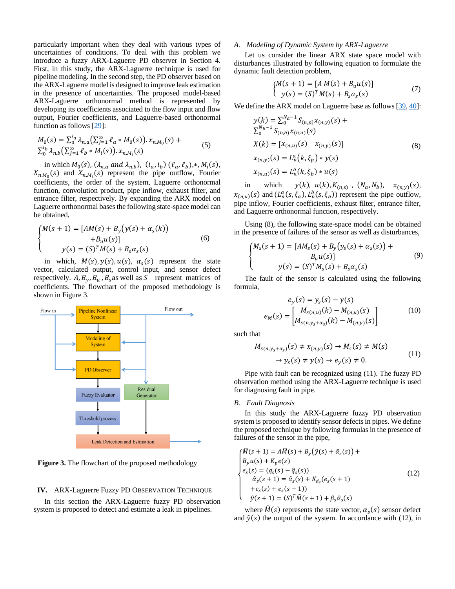particularly important when they deal with various types of uncertainties of conditions. To deal with this problem we introduce a fuzzy ARX-Laguerre PD observer in Section 4. First, in this study, the ARX-Laguerre technique is used for pipeline modeling. In the second step, the PD observer based on the ARX-Laguerre model is designed to improve leak estimation in the presence of uncertainties. The proposed model-based ARX-Laguerre orthonormal method is represented by developing its coefficients associated to the flow input and flow output, Fourier coefficients, and Laguerre-based orthonormal function as follows [\[29\]](#page-5-15):

$$
M_0(s) = \sum_{0}^{i_a} \lambda_{n,a} \left( \sum_{j=1}^{\infty} \ell_a * M_0(s) \right) . x_{n,M_0}(s) +
$$
  
\n
$$
\sum_{0}^{i_b} \lambda_{n,b} \left( \sum_{j=1}^{\infty} \ell_b * M_i(s) \right) . x_{n,M_i}(s)
$$
 (5)

in which  $M_0(s)$ ,  $(\lambda_{n,a}$  and  $\lambda_{n,b})$ ,  $(i_a, i_b)$   $(\ell_a, \ell_b)$ ,\*,  $M_i(s)$ ,  $X_{n,M_0}(s)$  and  $X_{n,M_i}(s)$  represent the pipe outflow, Fourier coefficients, the order of the system, Laguerre orthonormal function, convolution product, pipe inflow, exhaust filter, and entrance filter, respectively. By expanding the ARX model on Laguerre orthonormal bases the following state-space model can be obtained,

$$
\begin{cases}\nM(s+1) = [AM(s) + B_y(y(s) + \alpha_s(k)) \\
\qquad + B_u u(s)] \\
y(s) = (S)^T M(s) + B_s \alpha_s(s)\n\end{cases}
$$
\n(6)

in which,  $M(s)$ ,  $y(s)$ ,  $u(s)$ ,  $\alpha_s(s)$  represent the state vector, calculated output, control input, and sensor defect respectively. A,  $B_v$ ,  $B_u$ ,  $B_s$  as well as S represent matrices of coefficients. The flowchart of the proposed methodology is shown in Figure 3.



**Figure 3.** The flowchart of the proposed methodology

## **IV.** ARX-Laguerre Fuzzy PD OBSERVATION TECHNIQUE

In this section the ARX-Laguerre fuzzy PD observation system is proposed to detect and estimate a leak in pipelines.

### *A. Modeling of Dynamic System by ARX-Laguerre*

Let us consider the linear ARX state space model with disturbances illustrated by following equation to formulate the dynamic fault detection problem,

<span id="page-2-0"></span>
$$
\begin{cases}\nM(s+1) = [A M(s) + B_u u(s)] \\
y(s) = (S)^T M(s) + B_s \alpha_s(s)\n\end{cases}
$$
\n(7)

We define the ARX model on Laguerre base as follows [\[39,](#page-5-16) [40\]](#page-5-17):

$$
y(k) = \sum_{0}^{N_a - 1} S_{(n,p)} x_{(n,y)}(s) +
$$
  
\n
$$
\sum_{0}^{N_b - 1} S_{(n,b)} x_{(n,u)}(s)
$$
  
\n
$$
X(k) = [x_{(n,u)}(s) \quad x_{(n,y)}(s)]
$$
  
\n
$$
x_{(n,y)}(s) = L_n^a(k, \xi_p) * y(s)
$$
  
\n
$$
x_{(n,u)}(s) = L_n^b(k, \xi_b) * u(s)
$$
 (8)

in which  $y(k)$ ,  $u(k)$ ,  $K_{(n,s)}$ ,  $(N_a, N_b)$ ,  $x_{(n,y)}(s)$ ,  $x_{(n,u)}(s)$  and  $(L_n^a(s, \xi_a), L_n^b(s, \xi_b))$  represent the pipe outflow, pipe inflow, Fourier coefficients, exhaust filter, entrance filter, and Laguerre orthonormal function, respectively.

Using [\(8\),](#page-2-0) the following state-space model can be obtained in the presence of failures of the sensor as well as disturbances,

$$
\begin{cases} M_s(s+1) = [AM_s(s) + B_y(y_s(s) + \alpha_s(s)) + B_u u(s)] \\ y(s) = (S)^T M_s(s) + B_s \alpha_s(s) \end{cases}
$$
(9)

The fault of the sensor is calculated using the following formula,

$$
e_{y}(s) = y_{s}(s) - y(s)
$$
  
\n
$$
e_{M}(s) = \begin{bmatrix} M_{s(n,u)}(k) - M_{(n,u)}(s) \\ M_{s(n,y_{s}+\alpha_{s})}(k) - M_{(n,y)}(s) \end{bmatrix}
$$
 (10)

such that

<span id="page-2-1"></span>
$$
M_{S(n,y_S+\alpha_S)}(s) \neq x_{(n,y)}(s) \to M_S(s) \neq M(s)
$$
  

$$
\to y_S(s) \neq y(s) \to e_y(s) \neq 0.
$$
 (11)

Pipe with fault can be recognized using [\(11\).](#page-2-1) The fuzzy PD observation method using the ARX-Laguerre technique is used for diagnosing fault in pipe.

#### *B. Fault Diagnosis*

In this study the ARX-Laguerre fuzzy PD observation system is proposed to identify sensor defects in pipes. We define the proposed technique by following formulas in the presence of failures of the sensor in the pipe,

<span id="page-2-2"></span>
$$
\begin{cases}\n\widehat{M}(s+1) = A\widehat{M}(s) + B_y(\widehat{y}(s) + \widehat{\alpha}_s(s)) + \\
B_y u(s) + K_p e(s) \\
e_s(s) = (q_s(s) - \widehat{q}_s(s)) \\
\widehat{\alpha}_s(s+1) = \widehat{\alpha}_s(s) + K_{d_s}(e_s(s+1)) \\
+ e_s(s) + e_s(s-1)) \\
\widehat{y}(s+1) = (S)^T \widehat{M}(s+1) + \beta_s \widehat{\alpha}_s(s)\n\end{cases}
$$
\n(12)

where  $\widehat{M}(s)$  represents the state vector,  $\alpha_s(s)$  sensor defect and  $\hat{y}(s)$  the output of the system. In accordance with [\(12\),](#page-2-2) in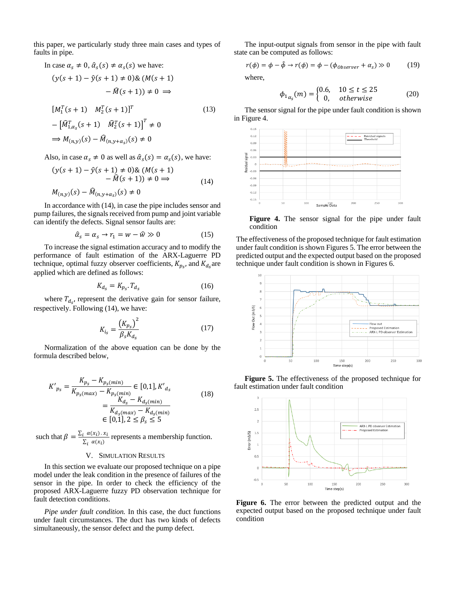this paper, we particularly study three main cases and types of faults in pipe.

In case 
$$
\alpha_s \neq 0
$$
,  $\hat{\alpha}_s(s) \neq \alpha_s(s)$  we have:  
\n
$$
(y(s+1) - \hat{y}(s+1) \neq 0) \& (M(s+1) - \hat{M}(s+1)) \neq 0 \Rightarrow
$$
\n
$$
[M_1^T(s+1) \quad M_2^T(s+1)]^T \qquad (13)
$$
\n
$$
- \left[ \hat{M}_{1,\alpha_s}^T(s+1) \quad \hat{M}_2^T(s+1) \right]^T \neq 0
$$
\n
$$
\Rightarrow M_{(n,y)}(s) - \hat{M}_{(n,y+\alpha_s)}(s) \neq 0
$$

Also, in case  $\alpha_s \neq 0$  as well as  $\hat{\alpha}_s(s) = \alpha_s(s)$ , we have:

$$
(y(s + 1) - \hat{y}(s + 1) \neq 0) \& (M(s + 1) - \hat{M}(s + 1)) \neq 0 \Rightarrow M_{(n,y)}(s) - \hat{M}_{(n,y+a_s)}(s) \neq 0
$$
\n(14)

In accordance wit[h \(14\),](#page-3-0) in case the pipe includes sensor and pump failures, the signals received from pump and joint variable can identify the defects. Signal sensor faults are:

$$
\hat{\alpha}_s = \alpha_s \to r_1 = w - \hat{w} \gg 0 \tag{15}
$$

To increase the signal estimation accuracy and to modify the performance of fault estimation of the ARX-Laguerre PD technique, optimal fuzzy observer coefficients,  $K_{p<sub>s</sub>}$ , and  $K_{d<sub>s</sub>}$  are applied which are defined as follows:

$$
K_{d_s} = K_{p_s} \cdot T_{d_s} \tag{16}
$$

where  $T_{d_s}$ , represent the derivative gain for sensor failure, respectively. Following [\(14\),](#page-3-0) we have:

$$
K_{i_S} = \frac{(K_{p_S})^2}{\beta_S K_{d_S}}
$$
 (17)

Normalization of the above equation can be done by the formula described below,

$$
K'_{p_S} = \frac{K_{p_S} - K_{p_S(min)}}{K_{p_S(max)} - K_{p_S(min)}} \in [0,1], K'_{d_S}
$$
  
= 
$$
\frac{K_{d_S} - K_{d_S(min)}}{K_{d_S(max)} - K_{d_S(min)}}
$$
  

$$
\in [0,1], 2 \le \beta_S \le 5
$$
 (18)

such that  $\beta = \frac{\sum_i \alpha(x_i) \cdot x_i}{\sum_i \alpha(x_i)}$  $\frac{\alpha(x_i) \cdot x_i}{\sum_i \alpha(x_i)}$  represents a membership function.

#### V. SIMULATION RESULTS

In this section we evaluate our proposed technique on a pipe model under the leak condition in the presence of failures of the sensor in the pipe. In order to check the efficiency of the proposed ARX-Laguerre fuzzy PD observation technique for fault detection conditions.

*Pipe under fault condition.* In this case, the duct functions under fault circumstances. The duct has two kinds of defects simultaneously, the sensor defect and the pump defect.

The input-output signals from sensor in the pipe with fault state can be computed as follows:

$$
r(\phi) = \phi - \hat{\phi} \rightarrow r(\phi) = \phi - (\phi_{\text{Observer}} + \alpha_s) \gg 0 \tag{19}
$$

where,

$$
\phi_{1_{\alpha_s}}(m) = \begin{cases} 0.6, & 10 \le t \le 25 \\ 0, & \text{otherwise} \end{cases} \tag{20}
$$

The sensor signal for the pipe under fault condition is shown in Figure 4.



<span id="page-3-0"></span>Figure 4. The sensor signal for the pipe under fault condition

The effectiveness of the proposed technique for fault estimation under fault condition is shown Figures 5. The error between the predicted output and the expected output based on the proposed technique under fault condition is shown in Figures 6.



**Figure 5.** The effectiveness of the proposed technique for fault estimation under fault condition



**Figure 6.** The error between the predicted output and the expected output based on the proposed technique under fault condition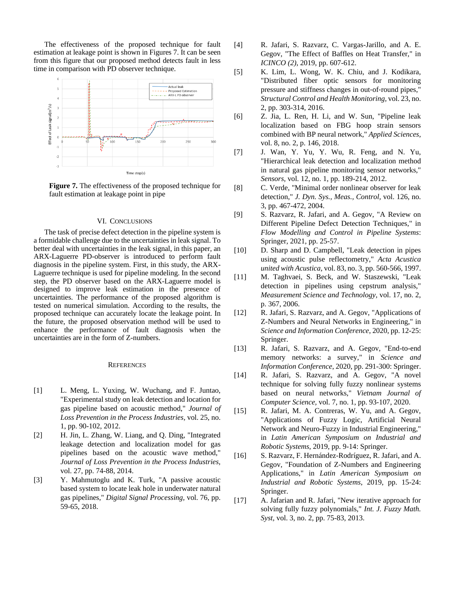The effectiveness of the proposed technique for fault estimation at leakage point is shown in Figures 7. It can be seen from this figure that our proposed method detects fault in less time in comparison with PD observer technique.



**Figure 7.** The effectiveness of the proposed technique for fault estimation at leakage point in pipe

# VI. CONCLUSIONS

The task of precise defect detection in the pipeline system is a formidable challenge due to the uncertainties in leak signal. To better deal with uncertainties in the leak signal, in this paper, an ARX-Laguerre PD-observer is introduced to perform fault diagnosis in the pipeline system. First, in this study, the ARX-Laguerre technique is used for pipeline modeling. In the second step, the PD observer based on the ARX-Laguerre model is designed to improve leak estimation in the presence of uncertainties. The performance of the proposed algorithm is tested on numerical simulation. According to the results, the proposed technique can accurately locate the leakage point. In the future, the proposed observation method will be used to enhance the performance of fault diagnosis when the uncertainties are in the form of Z-numbers.

#### **REFERENCES**

- <span id="page-4-0"></span>[1] L. Meng, L. Yuxing, W. Wuchang, and F. Juntao, "Experimental study on leak detection and location for gas pipeline based on acoustic method," *Journal of Loss Prevention in the Process Industries,* vol. 25, no. 1, pp. 90-102, 2012.
- [2] H. Jin, L. Zhang, W. Liang, and Q. Ding, "Integrated leakage detection and localization model for gas pipelines based on the acoustic wave method," *Journal of Loss Prevention in the Process Industries,*  vol. 27, pp. 74-88, 2014.
- [3] Y. Mahmutoglu and K. Turk, "A passive acoustic based system to locate leak hole in underwater natural gas pipelines," *Digital Signal Processing,* vol. 76, pp. 59-65, 2018.
- [4] R. Jafari, S. Razvarz, C. Vargas-Jarillo, and A. E. Gegov, "The Effect of Baffles on Heat Transfer," in *ICINCO (2)*, 2019, pp. 607-612.
- <span id="page-4-1"></span>[5] K. Lim, L. Wong, W. K. Chiu, and J. Kodikara, "Distributed fiber optic sensors for monitoring pressure and stiffness changes in out‐of‐round pipes," *Structural Control and Health Monitoring,* vol. 23, no. 2, pp. 303-314, 2016.
- <span id="page-4-2"></span>[6] Z. Jia, L. Ren, H. Li, and W. Sun, "Pipeline leak localization based on FBG hoop strain sensors combined with BP neural network," *Applied Sciences,*  vol. 8, no. 2, p. 146, 2018.
- <span id="page-4-3"></span>[7] J. Wan, Y. Yu, Y. Wu, R. Feng, and N. Yu, "Hierarchical leak detection and localization method in natural gas pipeline monitoring sensor networks," *Sensors,* vol. 12, no. 1, pp. 189-214, 2012.
- <span id="page-4-4"></span>[8] C. Verde, "Minimal order nonlinear observer for leak detection," *J. Dyn. Sys., Meas., Control,* vol. 126, no. 3, pp. 467-472, 2004.
- <span id="page-4-5"></span>[9] S. Razvarz, R. Jafari, and A. Gegov, "A Review on Different Pipeline Defect Detection Techniques," in *Flow Modelling and Control in Pipeline Systems*: Springer, 2021, pp. 25-57.
- <span id="page-4-6"></span>[10] D. Sharp and D. Campbell, "Leak detection in pipes using acoustic pulse reflectometry," *Acta Acustica united with Acustica,* vol. 83, no. 3, pp. 560-566, 1997.
- <span id="page-4-7"></span>[11] M. Taghvaei, S. Beck, and W. Staszewski, "Leak detection in pipelines using cepstrum analysis," *Measurement Science and Technology,* vol. 17, no. 2, p. 367, 2006.
- <span id="page-4-8"></span>[12] R. Jafari, S. Razvarz, and A. Gegov, "Applications of Z-Numbers and Neural Networks in Engineering," in *Science and Information Conference*, 2020, pp. 12-25: Springer.
- [13] R. Jafari, S. Razvarz, and A. Gegov, "End-to-end" memory networks: a survey," in *Science and Information Conference*, 2020, pp. 291-300: Springer.
- [14] R. Jafari, S. Razvarz, and A. Gegov, "A novel technique for solving fully fuzzy nonlinear systems based on neural networks," *Vietnam Journal of Computer Science,* vol. 7, no. 1, pp. 93-107, 2020.
- [15] R. Jafari, M. A. Contreras, W. Yu, and A. Gegov, "Applications of Fuzzy Logic, Artificial Neural Network and Neuro-Fuzzy in Industrial Engineering," in *Latin American Symposium on Industrial and Robotic Systems*, 2019, pp. 9-14: Springer.
- [16] S. Razvarz, F. Hernández-Rodríguez, R. Jafari, and A. Gegov, "Foundation of Z-Numbers and Engineering Applications," in *Latin American Symposium on Industrial and Robotic Systems*, 2019, pp. 15-24: Springer.
- [17] A. Jafarian and R. Jafari, "New iterative approach for solving fully fuzzy polynomials," *Int. J. Fuzzy Math. Syst,* vol. 3, no. 2, pp. 75-83, 2013.